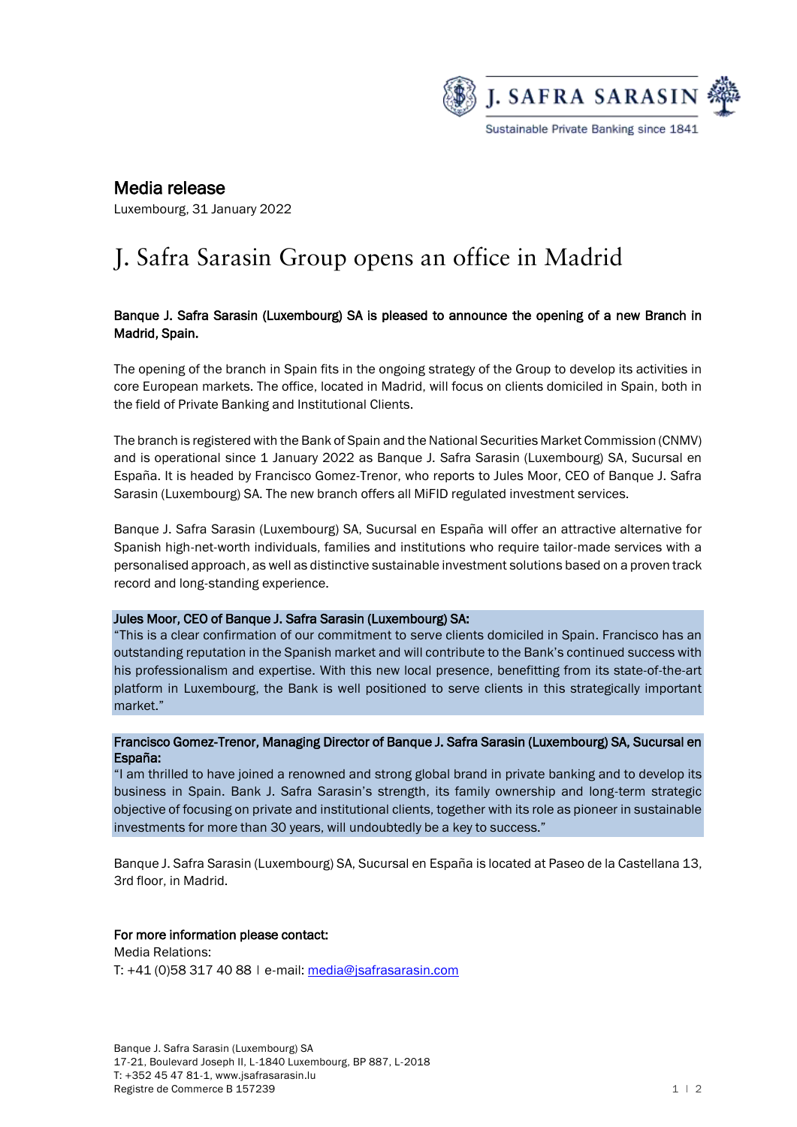

# Media release

Luxembourg, 31 January 2022

# J. Safra Sarasin Group opens an office in Madrid

# Banque J. Safra Sarasin (Luxembourg) SA is pleased to announce the opening of a new Branch in Madrid, Spain.

The opening of the branch in Spain fits in the ongoing strategy of the Group to develop its activities in core European markets. The office, located in Madrid, will focus on clients domiciled in Spain, both in the field of Private Banking and Institutional Clients.

The branch is registered with the Bank of Spain and the National Securities Market Commission (CNMV) and is operational since 1 January 2022 as Banque J. Safra Sarasin (Luxembourg) SA, Sucursal en España. It is headed by Francisco Gomez-Trenor, who reports to Jules Moor, CEO of Banque J. Safra Sarasin (Luxembourg) SA. The new branch offers all MiFID regulated investment services.

Banque J. Safra Sarasin (Luxembourg) SA, Sucursal en España will offer an attractive alternative for Spanish high-net-worth individuals, families and institutions who require tailor-made services with a personalised approach, as well as distinctive sustainable investment solutions based on a proven track record and long-standing experience.

# Jules Moor, CEO of Banque J. Safra Sarasin (Luxembourg) SA:

"This is a clear confirmation of our commitment to serve clients domiciled in Spain. Francisco has an outstanding reputation in the Spanish market and will contribute to the Bank's continued success with his professionalism and expertise. With this new local presence, benefitting from its state-of-the-art platform in Luxembourg, the Bank is well positioned to serve clients in this strategically important market."

#### Francisco Gomez-Trenor, Managing Director of Banque J. Safra Sarasin (Luxembourg) SA, Sucursal en España:

"I am thrilled to have joined a renowned and strong global brand in private banking and to develop its business in Spain. Bank J. Safra Sarasin's strength, its family ownership and long-term strategic objective of focusing on private and institutional clients, together with its role as pioneer in sustainable investments for more than 30 years, will undoubtedly be a key to success."

Banque J. Safra Sarasin (Luxembourg) SA, Sucursal en España is located at Paseo de la Castellana 13, 3rd floor, in Madrid.

# For more information please contact:

Media Relations: T: +41 (0)58 317 40 88 | e-mail: [media@jsafrasarasin.com](mailto:media@jsafrasarasin.com)